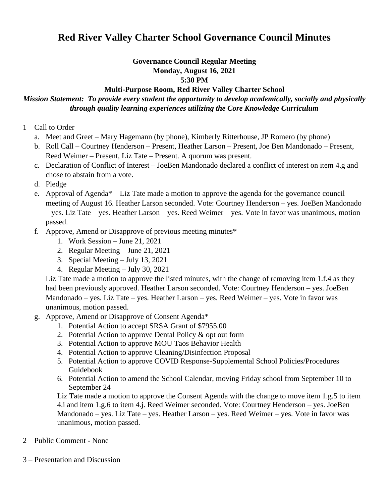# **Red River Valley Charter School Governance Council Minutes**

#### **Governance Council Regular Meeting Monday, August 16, 2021 5:30 PM**

#### **Multi-Purpose Room, Red River Valley Charter School**

## *Mission Statement: To provide every student the opportunity to develop academically, socially and physically through quality learning experiences utilizing the Core Knowledge Curriculum*

- 1 Call to Order
	- a. Meet and Greet Mary Hagemann (by phone), Kimberly Ritterhouse, JP Romero (by phone)
	- b. Roll Call Courtney Henderson Present, Heather Larson Present, Joe Ben Mandonado Present, Reed Weimer – Present, Liz Tate – Present. A quorum was present.
	- c. Declaration of Conflict of Interest JoeBen Mandonado declared a conflict of interest on item 4.g and chose to abstain from a vote.
	- d. Pledge
	- e. Approval of Agenda\* Liz Tate made a motion to approve the agenda for the governance council meeting of August 16. Heather Larson seconded. Vote: Courtney Henderson – yes. JoeBen Mandonado – yes. Liz Tate – yes. Heather Larson – yes. Reed Weimer – yes. Vote in favor was unanimous, motion passed.
	- f. Approve, Amend or Disapprove of previous meeting minutes\*
		- 1. Work Session June 21, 2021
		- 2. Regular Meeting June 21, 2021
		- 3. Special Meeting July 13, 2021
		- 4. Regular Meeting July 30, 2021

Liz Tate made a motion to approve the listed minutes, with the change of removing item 1.f.4 as they had been previously approved. Heather Larson seconded. Vote: Courtney Henderson – yes. JoeBen Mandonado – yes. Liz Tate – yes. Heather Larson – yes. Reed Weimer – yes. Vote in favor was unanimous, motion passed.

- g. Approve, Amend or Disapprove of Consent Agenda\*
	- 1. Potential Action to accept SRSA Grant of \$7955.00
	- 2. Potential Action to approve Dental Policy & opt out form
	- 3. Potential Action to approve MOU Taos Behavior Health
	- 4. Potential Action to approve Cleaning/Disinfection Proposal
	- 5. Potential Action to approve COVID Response-Supplemental School Policies/Procedures Guidebook
	- 6. Potential Action to amend the School Calendar, moving Friday school from September 10 to September 24

Liz Tate made a motion to approve the Consent Agenda with the change to move item 1.g.5 to item 4.i and item 1.g.6 to item 4.j. Reed Weimer seconded. Vote: Courtney Henderson – yes. JoeBen Mandonado – yes. Liz Tate – yes. Heather Larson – yes. Reed Weimer – yes. Vote in favor was unanimous, motion passed.

- 2 Public Comment None
- 3 Presentation and Discussion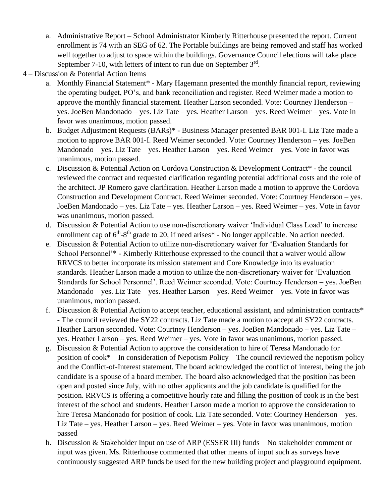- a. Administrative Report School Administrator Kimberly Ritterhouse presented the report. Current enrollment is 74 with an SEG of 62. The Portable buildings are being removed and staff has worked well together to adjust to space within the buildings. Governance Council elections will take place September 7-10, with letters of intent to run due on September  $3<sup>rd</sup>$ .
- 4 Discussion & Potential Action Items
	- a. Monthly Financial Statement\* Mary Hagemann presented the monthly financial report, reviewing the operating budget, PO's, and bank reconciliation and register. Reed Weimer made a motion to approve the monthly financial statement. Heather Larson seconded. Vote: Courtney Henderson – yes. JoeBen Mandonado – yes. Liz Tate – yes. Heather Larson – yes. Reed Weimer – yes. Vote in favor was unanimous, motion passed.
	- b. Budget Adjustment Requests (BARs)\* Business Manager presented BAR 001-I. Liz Tate made a motion to approve BAR 001-I. Reed Weimer seconded. Vote: Courtney Henderson – yes. JoeBen Mandonado – yes. Liz Tate – yes. Heather Larson – yes. Reed Weimer – yes. Vote in favor was unanimous, motion passed.
	- c. Discussion & Potential Action on Cordova Construction & Development Contract\* the council reviewed the contract and requested clarification regarding potential additional costs and the role of the architect. JP Romero gave clarification. Heather Larson made a motion to approve the Cordova Construction and Development Contract. Reed Weimer seconded. Vote: Courtney Henderson – yes. JoeBen Mandonado – yes. Liz Tate – yes. Heather Larson – yes. Reed Weimer – yes. Vote in favor was unanimous, motion passed.
	- d. Discussion & Potential Action to use non-discretionary waiver 'Individual Class Load' to increase enrollment cap of  $6<sup>th</sup>$ -8<sup>th</sup> grade to 20, if need arises<sup>\*</sup> - No longer applicable. No action needed.
	- e. Discussion & Potential Action to utilize non-discretionary waiver for 'Evaluation Standards for School Personnel'\* - Kimberly Ritterhouse expressed to the council that a waiver would allow RRVCS to better incorporate its mission statement and Core Knowledge into its evaluation standards. Heather Larson made a motion to utilize the non-discretionary waiver for 'Evaluation Standards for School Personnel'. Reed Weimer seconded. Vote: Courtney Henderson – yes. JoeBen Mandonado – yes. Liz Tate – yes. Heather Larson – yes. Reed Weimer – yes. Vote in favor was unanimous, motion passed.
	- f. Discussion & Potential Action to accept teacher, educational assistant, and administration contracts\* - The council reviewed the SY22 contracts. Liz Tate made a motion to accept all SY22 contracts. Heather Larson seconded. Vote: Courtney Henderson – yes. JoeBen Mandonado – yes. Liz Tate – yes. Heather Larson – yes. Reed Weimer – yes. Vote in favor was unanimous, motion passed.
	- g. Discussion & Potential Action to approve the consideration to hire of Teresa Mandonado for position of cook\* – In consideration of Nepotism Policy – The council reviewed the nepotism policy and the Conflict-of-Interest statement. The board acknowledged the conflict of interest, being the job candidate is a spouse of a board member. The board also acknowledged that the position has been open and posted since July, with no other applicants and the job candidate is qualified for the position. RRVCS is offering a competitive hourly rate and filling the position of cook is in the best interest of the school and students. Heather Larson made a motion to approve the consideration to hire Teresa Mandonado for position of cook. Liz Tate seconded. Vote: Courtney Henderson – yes. Liz Tate – yes. Heather Larson – yes. Reed Weimer – yes. Vote in favor was unanimous, motion passed
	- h. Discussion & Stakeholder Input on use of ARP (ESSER III) funds No stakeholder comment or input was given. Ms. Ritterhouse commented that other means of input such as surveys have continuously suggested ARP funds be used for the new building project and playground equipment.